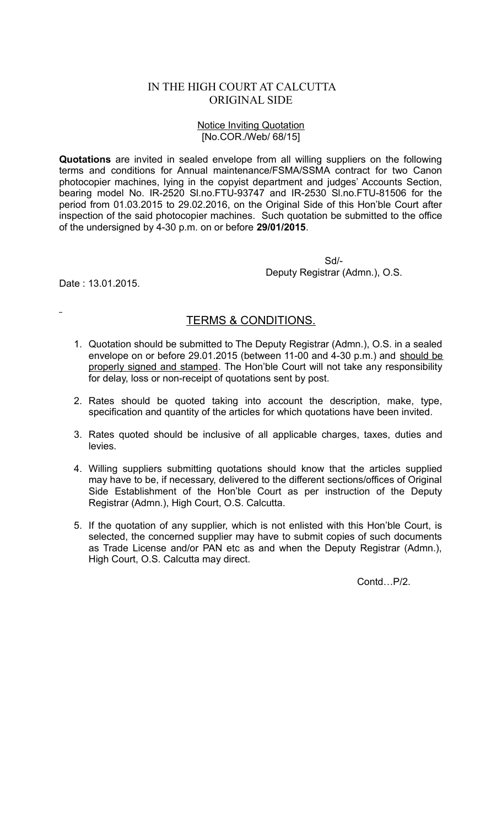## IN THE HIGH COURT AT CALCUTTA ORIGINAL SIDE

## Notice Inviting Quotation [No.COR./Web/ 68/15]

**Quotations** are invited in sealed envelope from all willing suppliers on the following terms and conditions for Annual maintenance/FSMA/SSMA contract for two Canon photocopier machines, lying in the copyist department and judges' Accounts Section, bearing model No. IR-2520 Sl.no.FTU-93747 and IR-2530 Sl.no.FTU-81506 for the period from 01.03.2015 to 29.02.2016, on the Original Side of this Hon'ble Court after inspection of the said photocopier machines. Such quotation be submitted to the office of the undersigned by 4-30 p.m. on or before **29/01/2015**.

> Sd/- Deputy Registrar (Admn.), O.S.

Date : 13.01.2015.

## TERMS & CONDITIONS.

- 1. Quotation should be submitted to The Deputy Registrar (Admn.), O.S. in a sealed envelope on or before 29.01.2015 (between 11-00 and 4-30 p.m.) and should be properly signed and stamped. The Hon'ble Court will not take any responsibility for delay, loss or non-receipt of quotations sent by post.
- 2. Rates should be quoted taking into account the description, make, type, specification and quantity of the articles for which quotations have been invited.
- 3. Rates quoted should be inclusive of all applicable charges, taxes, duties and levies.
- 4. Willing suppliers submitting quotations should know that the articles supplied may have to be, if necessary, delivered to the different sections/offices of Original Side Establishment of the Hon'ble Court as per instruction of the Deputy Registrar (Admn.), High Court, O.S. Calcutta.
- 5. If the quotation of any supplier, which is not enlisted with this Hon'ble Court, is selected, the concerned supplier may have to submit copies of such documents as Trade License and/or PAN etc as and when the Deputy Registrar (Admn.), High Court, O.S. Calcutta may direct.

Contd<sub>P/2</sub>